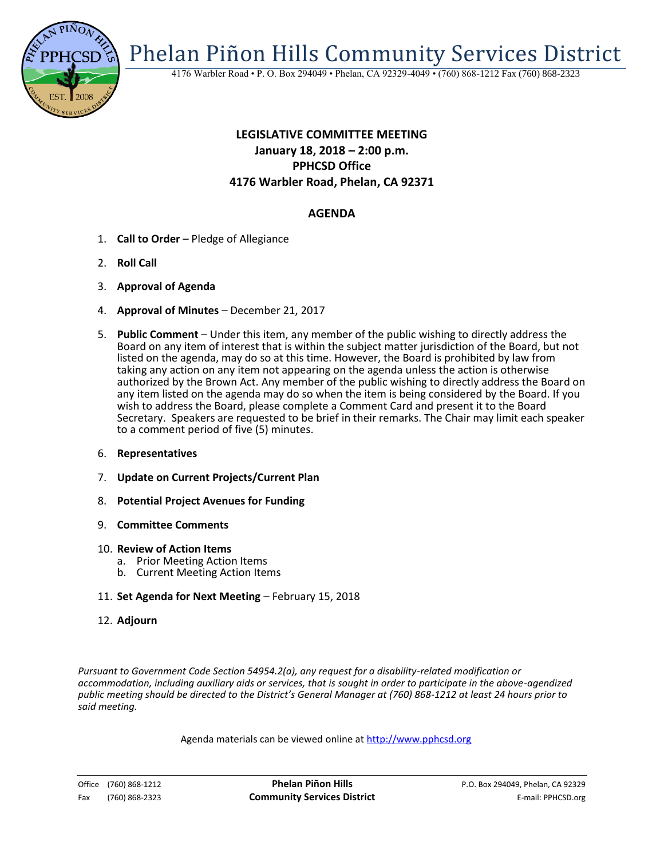

Phelan Piñon Hills Community Services District

4176 Warbler Road • P. O. Box 294049 • Phelan, CA 92329-4049 • (760) 868-1212 Fax (760) 868-2323

# **LEGISLATIVE COMMITTEE MEETING January 18, 2018 – 2:00 p.m. PPHCSD Office 4176 Warbler Road, Phelan, CA 92371**

## **AGENDA**

- 1. **Call to Order**  Pledge of Allegiance
- 2. **Roll Call**
- 3. **Approval of Agenda**
- 4. **Approval of Minutes** December 21, 2017
- 5. **Public Comment**  Under this item, any member of the public wishing to directly address the Board on any item of interest that is within the subject matter jurisdiction of the Board, but not listed on the agenda, may do so at this time. However, the Board is prohibited by law from taking any action on any item not appearing on the agenda unless the action is otherwise authorized by the Brown Act. Any member of the public wishing to directly address the Board on any item listed on the agenda may do so when the item is being considered by the Board. If you wish to address the Board, please complete a Comment Card and present it to the Board Secretary. Speakers are requested to be brief in their remarks. The Chair may limit each speaker to a comment period of five (5) minutes.
- 6. **Representatives**
- 7. **Update on Current Projects/Current Plan**
- 8. **Potential Project Avenues for Funding**
- 9. **Committee Comments**
- 10. **Review of Action Items**
	- a. Prior Meeting Action Items
	- b. Current Meeting Action Items
- 11. **Set Agenda for Next Meeting** February 15, 2018
- 12. **Adjourn**

*Pursuant to Government Code Section 54954.2(a), any request for a disability-related modification or accommodation, including auxiliary aids or services, that is sought in order to participate in the above-agendized public meeting should be directed to the District's General Manager at (760) 868-1212 at least 24 hours prior to said meeting.*

Agenda materials can be viewed online at [http://www.pphcsd.org](http://www.pphcsd.org/)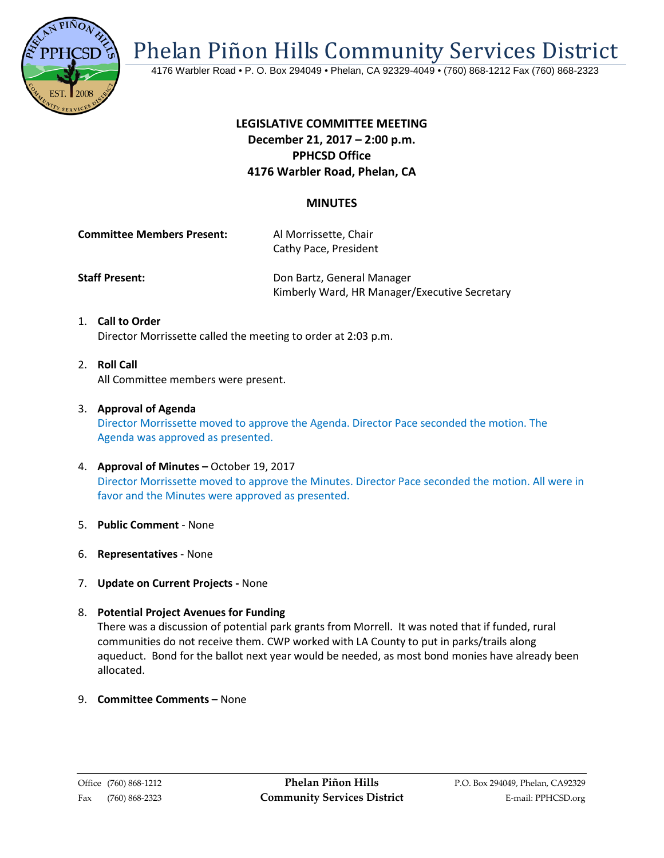

Phelan Piñon Hills Community Services District

4176 Warbler Road • P. O. Box 294049 • Phelan, CA 92329-4049 • (760) 868-1212 Fax (760) 868-2323

## **LEGISLATIVE COMMITTEE MEETING December 21, 2017 – 2:00 p.m. PPHCSD Office 4176 Warbler Road, Phelan, CA**

## **MINUTES**

**Committee Members Present:** Al Morrissette, Chair Cathy Pace, President

**Staff Present: Con Bartz, General Manager** Kimberly Ward, HR Manager/Executive Secretary

- 1. **Call to Order** Director Morrissette called the meeting to order at 2:03 p.m.
- 2. **Roll Call** All Committee members were present.
- 3. **Approval of Agenda**

Director Morrissette moved to approve the Agenda. Director Pace seconded the motion. The Agenda was approved as presented.

- 4. **Approval of Minutes –** October 19, 2017 Director Morrissette moved to approve the Minutes. Director Pace seconded the motion. All were in favor and the Minutes were approved as presented.
- 5. **Public Comment** None
- 6. **Representatives** None
- 7. **Update on Current Projects -** None
- 8. **Potential Project Avenues for Funding** There was a discussion of potential park grants from Morrell.It was noted that if funded, rural communities do not receive them. CWP worked with LA County to put in parks/trails along aqueduct. Bond for the ballot next year would be needed, as most bond monies have already been allocated.
- 9. **Committee Comments –** None